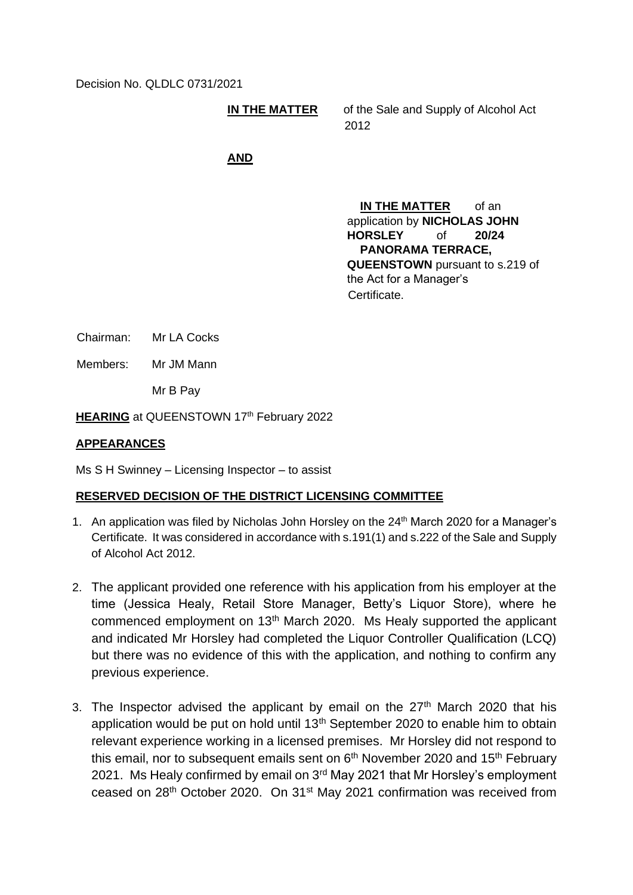Decision No. QLDLC 0731/2021

**IN THE MATTER** of the Sale and Supply of Alcohol Act 2012

## **AND**

**IN THE MATTER** of an application by **NICHOLAS JOHN HORSLEY** of **20/24 PANORAMA TERRACE, QUEENSTOWN** pursuant to s.219 of the Act for a Manager's Certificate.

Chairman: Mr LA Cocks

Members: Mr JM Mann

Mr B Pay

**HEARING** at QUEENSTOWN 17<sup>th</sup> February 2022

## **APPEARANCES**

Ms S H Swinney – Licensing Inspector – to assist

## **RESERVED DECISION OF THE DISTRICT LICENSING COMMITTEE**

- 1. An application was filed by Nicholas John Horsley on the 24<sup>th</sup> March 2020 for a Manager's Certificate. It was considered in accordance with s.191(1) and s.222 of the Sale and Supply of Alcohol Act 2012.
- 2. The applicant provided one reference with his application from his employer at the time (Jessica Healy, Retail Store Manager, Betty's Liquor Store), where he commenced employment on 13<sup>th</sup> March 2020. Ms Healy supported the applicant and indicated Mr Horsley had completed the Liquor Controller Qualification (LCQ) but there was no evidence of this with the application, and nothing to confirm any previous experience.
- 3. The Inspector advised the applicant by email on the  $27<sup>th</sup>$  March 2020 that his application would be put on hold until 13th September 2020 to enable him to obtain relevant experience working in a licensed premises. Mr Horsley did not respond to this email, nor to subsequent emails sent on  $6<sup>th</sup>$  November 2020 and 15<sup>th</sup> February 2021. Ms Healy confirmed by email on 3<sup>rd</sup> May 2021 that Mr Horsley's employment ceased on 28th October 2020. On 31st May 2021 confirmation was received from